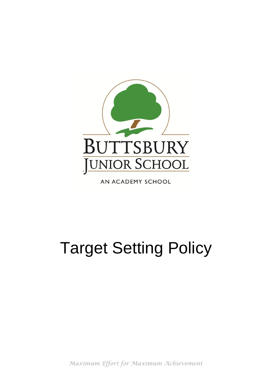

AN ACADEMY SCHOOL

# Target Setting Policy

*Maximum Effort for Maximum Achievement*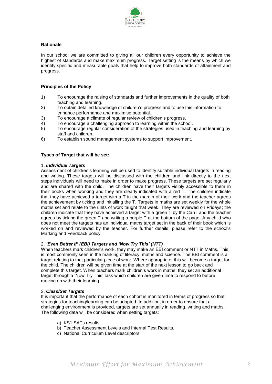

## **Rationale**

In our school we are committed to giving all our children every opportunity to achieve the highest of standards and make maximum progress. Target setting is the means by which we identify specific and measurable goals that help to improve both standards of attainment and progress.

## **Principles of the Policy**

- 1) To encourage the raising of standards and further improvements in the quality of both teaching and learning.
- 2) To obtain detailed knowledge of children's progress and to use this information to enhance performance and maximise potential.
- 3) To encourage a climate of regular review of children's progress.
- 4) To encourage a challenging approach to learning within the school.
- 5) To encourage regular consideration of the strategies used in teaching and learning by staff and children.
- 6) To establish sound management systems to support improvement.

## **Types of Target that will be set:**

#### 1. *Individual Targets*

Assessment of children's learning will be used to identify suitable individual targets in reading and writing. These targets will be discussed with the children and link directly to the next steps individuals will need to make in order to make progress. These targets are set regularly and are shared with the child. The children have their targets visibly accessible to them in their books when working and they are clearly indicated with a red T. The children indicate that they have achieved a target with a T in the margin of their work and the teacher agrees the achievement by ticking and initialling the T. Targets in maths are set weekly for the whole maths set and relate to the units of work taught that week. They are reviewed on Fridays; the children indicate that they have achieved a target with a green T by the Can I and the teacher agrees by ticking the green T and writing a purple T at the bottom of the page. Any child who does not meet the targets has an individual maths target set in the back of their book which is worked on and reviewed by the teacher. For further details, please refer to the school's Marking and Feedback policy.

## 2. *'Even Better If' (EBI) Targets and 'Now Try This' (NTT)*

When teachers mark children's work, they may make an EBI comment or NTT in Maths. This is most commonly seen in the marking of literacy, maths and science. The EBI comment is a target relating to that particular piece of work. Where appropriate, this will become a target for the child. The children will be given time at the start of the next lesson to go back and complete this target. When teachers mark children's work in maths, they set an additional target through a 'Now Try This' task which children are given time to respond to before moving on with their learning.

#### 3. *Class/Set Targets*

It is important that the performance of each cohort is monitored in terms of progress so that strategies for teaching/learning can be adapted. In addition, in order to ensure that a challenging environment is provided, targets are set annually in reading, writing and maths. The following data will be considered when setting targets:

- a) KS1 SATs results,
- b) Teacher Assessment Levels and Internal Test Results,
- c) National Curriculum Level descriptors